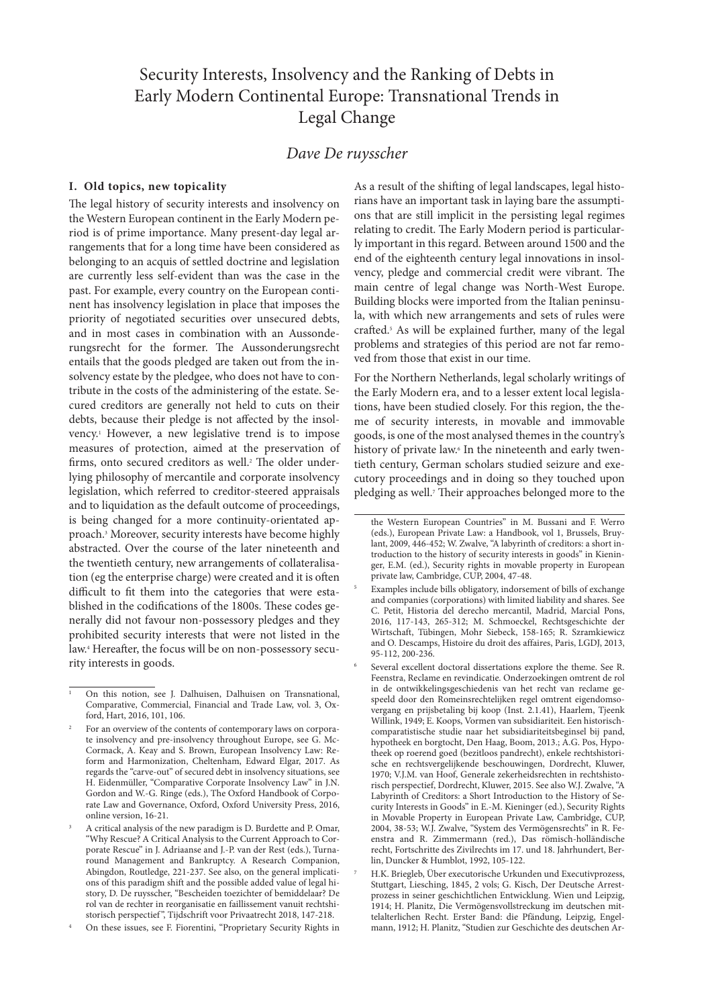# Security Interests, Insolvency and the Ranking of Debts in Early Modern Continental Europe: Transnational Trends in Legal Change

## *Dave De ruysscher*

## **I. Old topics, new topicality**

The legal history of security interests and insolvency on the Western European continent in the Early Modern period is of prime importance. Many present-day legal arrangements that for a long time have been considered as belonging to an acquis of settled doctrine and legislation are currently less self-evident than was the case in the past. For example, every country on the European continent has insolvency legislation in place that imposes the priority of negotiated securities over unsecured debts, and in most cases in combination with an Aussonderungsrecht for the former. The Aussonderungsrecht entails that the goods pledged are taken out from the insolvency estate by the pledgee, who does not have to contribute in the costs of the administering of the estate. Secured creditors are generally not held to cuts on their debts, because their pledge is not affected by the insolvency.1 However, a new legislative trend is to impose measures of protection, aimed at the preservation of firms, onto secured creditors as well.<sup>2</sup> The older underlying philosophy of mercantile and corporate insolvency legislation, which referred to creditor-steered appraisals and to liquidation as the default outcome of proceedings, is being changed for a more continuity-orientated approach.3 Moreover, security interests have become highly abstracted. Over the course of the later nineteenth and the twentieth century, new arrangements of collateralisation (eg the enterprise charge) were created and it is often difficult to fit them into the categories that were established in the codifications of the 1800s. These codes generally did not favour non-possessory pledges and they prohibited security interests that were not listed in the law.4 Hereafter, the focus will be on non-possessory security interests in goods.

As a result of the shifting of legal landscapes, legal historians have an important task in laying bare the assumptions that are still implicit in the persisting legal regimes relating to credit. The Early Modern period is particularly important in this regard. Between around 1500 and the end of the eighteenth century legal innovations in insolvency, pledge and commercial credit were vibrant. The main centre of legal change was North-West Europe. Building blocks were imported from the Italian peninsula, with which new arrangements and sets of rules were crafted.5 As will be explained further, many of the legal problems and strategies of this period are not far removed from those that exist in our time.

For the Northern Netherlands, legal scholarly writings of the Early Modern era, and to a lesser extent local legislations, have been studied closely. For this region, the theme of security interests, in movable and immovable goods, is one of the most analysed themes in the country's history of private law.<sup>6</sup> In the nineteenth and early twentieth century, German scholars studied seizure and executory proceedings and in doing so they touched upon pledging as well.<sup>7</sup> Their approaches belonged more to the

<sup>1</sup> On this notion, see J. Dalhuisen, Dalhuisen on Transnational, Comparative, Commercial, Financial and Trade Law, vol. 3, Oxford, Hart, 2016, 101, 106.

For an overview of the contents of contemporary laws on corporate insolvency and pre-insolvency throughout Europe, see G. Mc-Cormack, A. Keay and S. Brown, European Insolvency Law: Reform and Harmonization, Cheltenham, Edward Elgar, 2017. As regards the "carve-out" of secured debt in insolvency situations, see H. Eidenmüller, "Comparative Corporate Insolvency Law" in J.N. Gordon and W.-G. Ringe (eds.), The Oxford Handbook of Corporate Law and Governance, Oxford, Oxford University Press, 2016, online version, 16-21.

<sup>3</sup> A critical analysis of the new paradigm is D. Burdette and P. Omar, "Why Rescue? A Critical Analysis to the Current Approach to Corporate Rescue" in J. Adriaanse and J.-P. van der Rest (eds.), Turnaround Management and Bankruptcy. A Research Companion, Abingdon, Routledge, 221-237. See also, on the general implications of this paradigm shift and the possible added value of legal history, D. De ruysscher, "Bescheiden toezichter of bemiddelaar? De rol van de rechter in reorganisatie en faillissement vanuit rechtshistorisch perspectief ", Tijdschrift voor Privaatrecht 2018, 147-218.

<sup>4</sup> On these issues, see F. Fiorentini, "Proprietary Security Rights in

the Western European Countries" in M. Bussani and F. Werro (eds.), European Private Law: a Handbook, vol 1, Brussels, Bruylant, 2009, 446-452; W. Zwalve, "A labyrinth of creditors: a short introduction to the history of security interests in goods" in Kieninger, E.M. (ed.), Security rights in movable property in European private law, Cambridge, CUP, 2004, 47-48.

<sup>5</sup> Examples include bills obligatory, indorsement of bills of exchange and companies (corporations) with limited liability and shares. See C. Petit, Historia del derecho mercantil, Madrid, Marcial Pons, 2016, 117-143, 265-312; M. Schmoeckel, Rechtsgeschichte der Wirtschaft, Tübingen, Mohr Siebeck, 158-165; R. Szramkiewicz and O. Descamps, Histoire du droit des affaires, Paris, LGDJ, 2013, 95-112, 200-236.

<sup>6</sup> Several excellent doctoral dissertations explore the theme. See R. Feenstra, Reclame en revindicatie. Onderzoekingen omtrent de rol in de ontwikkelingsgeschiedenis van het recht van reclame gespeeld door den Romeinsrechtelijken regel omtrent eigendomsovergang en prijsbetaling bij koop (Inst. 2.1.41), Haarlem, Tjeenk Willink, 1949; E. Koops, Vormen van subsidiariteit. Een historischcomparatistische studie naar het subsidiariteitsbeginsel bij pand, hypotheek en borgtocht, Den Haag, Boom, 2013.; A.G. Pos, Hypotheek op roerend goed (bezitloos pandrecht), enkele rechtshistorische en rechtsvergelijkende beschouwingen, Dordrecht, Kluwer, 1970; V.J.M. van Hoof, Generale zekerheidsrechten in rechtshistorisch perspectief, Dordrecht, Kluwer, 2015. See also W.J. Zwalve, "A Labyrinth of Creditors: a Short Introduction to the History of Security Interests in Goods" in E.-M. Kieninger (ed.), Security Rights in Movable Property in European Private Law, Cambridge, CUP, 2004, 38-53; W.J. Zwalve, "System des Vermögensrechts" in R. Feenstra and R. Zimmermann (red.), Das römisch-holländische recht, Fortschritte des Zivilrechts im 17. und 18. Jahrhundert, Berlin, Duncker & Humblot, 1992, 105-122.

<sup>7</sup> H.K. Briegleb, Über executorische Urkunden und Executivprozess, Stuttgart, Liesching, 1845, 2 vols; G. Kisch, Der Deutsche Arrestprozess in seiner geschichtlichen Entwicklung. Wien und Leipzig, 1914; H. Planitz, Die Vermögensvollstreckung im deutschen mittelalterlichen Recht. Erster Band: die Pfändung, Leipzig, Engelmann, 1912; H. Planitz, "Studien zur Geschichte des deutschen Ar-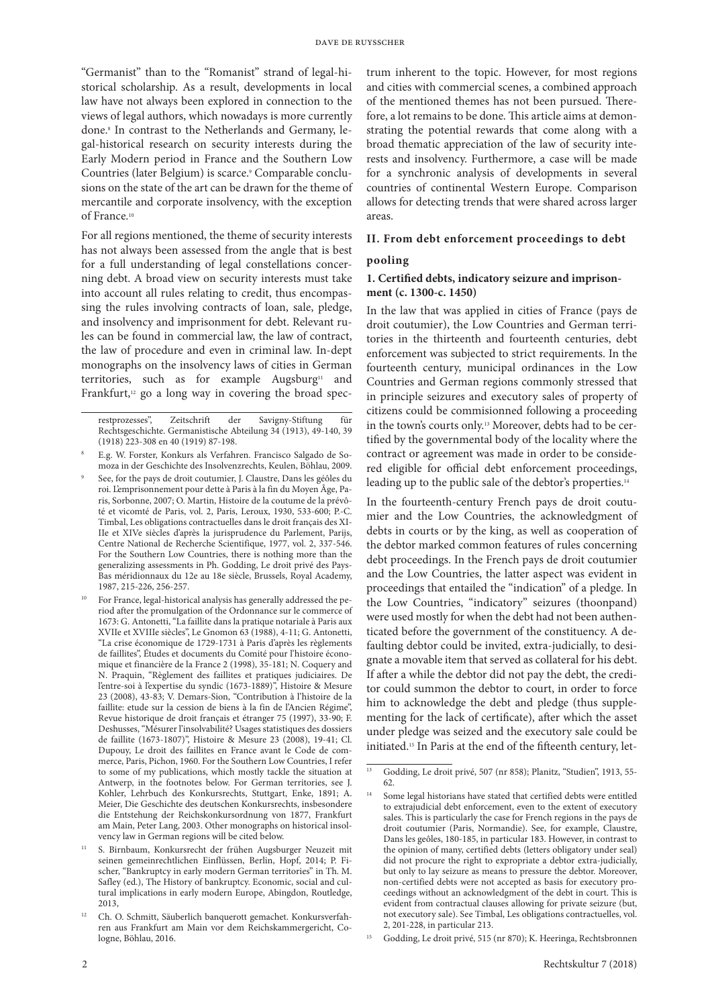"Germanist" than to the "Romanist" strand of legal-historical scholarship. As a result, developments in local law have not always been explored in connection to the views of legal authors, which nowadays is more currently done.8 In contrast to the Netherlands and Germany, legal-historical research on security interests during the Early Modern period in France and the Southern Low Countries (later Belgium) is scarce.<sup>9</sup> Comparable conclusions on the state of the art can be drawn for the theme of mercantile and corporate insolvency, with the exception of France.10

For all regions mentioned, the theme of security interests has not always been assessed from the angle that is best for a full understanding of legal constellations concerning debt. A broad view on security interests must take into account all rules relating to credit, thus encompassing the rules involving contracts of loan, sale, pledge, and insolvency and imprisonment for debt. Relevant rules can be found in commercial law, the law of contract, the law of procedure and even in criminal law. In-dept monographs on the insolvency laws of cities in German territories, such as for example Augsburg<sup>11</sup> and Frankfurt,<sup>12</sup> go a long way in covering the broad spec-

- <sup>8</sup> E.g. W. Forster, Konkurs als Verfahren. Francisco Salgado de Somoza in der Geschichte des Insolvenzrechts, Keulen, Böhlau, 2009.
- <sup>9</sup> See, for the pays de droit coutumier, J. Claustre, Dans les géôles du roi. L'emprisonnement pour dette à Paris à la fin du Moyen Âge, Paris, Sorbonne, 2007; O. Martin, Histoire de la coutume de la prévôté et vicomté de Paris, vol. 2, Paris, Leroux, 1930, 533-600; P.-C. Timbal, Les obligations contractuelles dans le droit français des XI-IIe et XIVe siècles d'après la jurisprudence du Parlement, Parijs, Centre National de Recherche Scientifique, 1977, vol. 2, 337-546. For the Southern Low Countries, there is nothing more than the generalizing assessments in Ph. Godding, Le droit privé des Pays-Bas méridionnaux du 12e au 18e siècle, Brussels, Royal Academy, 1987, 215-226, 256-257.
- For France, legal-historical analysis has generally addressed the period after the promulgation of the Ordonnance sur le commerce of 1673: G. Antonetti, "La faillite dans la pratique notariale à Paris aux XVIIe et XVIIIe siècles", Le Gnomon 63 (1988), 4-11; G. Antonetti, "La crise économique de 1729-1731 à Paris d'après les règlements de faillites", Études et documents du Comité pour l'histoire économique et financière de la France 2 (1998), 35-181; N. Coquery and N. Praquin, "Règlement des faillites et pratiques judiciaires. De l'entre-soi à l'expertise du syndic (1673-1889)", Histoire & Mesure 23 (2008), 43-83; V. Demars-Sion, "Contribution à l'histoire de la faillite: etude sur la cession de biens à la fin de l'Ancien Régime", Revue historique de droit français et étranger 75 (1997), 33-90; F. Deshusses, "Mésurer l'insolvabilité? Usages statistiques des dossiers de faillite (1673-1807)", Histoire & Mesure 23 (2008), 19-41; Cl. Dupouy, Le droit des faillites en France avant le Code de commerce, Paris, Pichon, 1960. For the Southern Low Countries, I refer to some of my publications, which mostly tackle the situation at Antwerp, in the footnotes below. For German territories, see J. Kohler, Lehrbuch des Konkursrechts, Stuttgart, Enke, 1891; A. Meier, Die Geschichte des deutschen Konkursrechts, insbesondere die Entstehung der Reichskonkursordnung von 1877, Frankfurt am Main, Peter Lang, 2003. Other monographs on historical insolvency law in German regions will be cited below.
- <sup>11</sup> S. Birnbaum, Konkursrecht der frühen Augsburger Neuzeit mit seinen gemeinrechtlichen Einflüssen, Berlin, Hopf, 2014; P. Fischer, "Bankruptcy in early modern German territories" in Th. M. Safley (ed.), The History of bankruptcy. Economic, social and cultural implications in early modern Europe, Abingdon, Routledge, 2013,
- <sup>12</sup> Ch. O. Schmitt, Säuberlich banquerott gemachet. Konkursverfahren aus Frankfurt am Main vor dem Reichskammergericht, Cologne, Böhlau, 2016.

trum inherent to the topic. However, for most regions and cities with commercial scenes, a combined approach of the mentioned themes has not been pursued. Therefore, a lot remains to be done. This article aims at demonstrating the potential rewards that come along with a broad thematic appreciation of the law of security interests and insolvency. Furthermore, a case will be made for a synchronic analysis of developments in several countries of continental Western Europe. Comparison allows for detecting trends that were shared across larger areas.

## **II. From debt enforcement proceedings to debt**

## **pooling**

## **1. Certified debts, indicatory seizure and imprisonment (c. 1300-c. 1450)**

In the law that was applied in cities of France (pays de droit coutumier), the Low Countries and German territories in the thirteenth and fourteenth centuries, debt enforcement was subjected to strict requirements. In the fourteenth century, municipal ordinances in the Low Countries and German regions commonly stressed that in principle seizures and executory sales of property of citizens could be commisionned following a proceeding in the town's courts only.13 Moreover, debts had to be certified by the governmental body of the locality where the contract or agreement was made in order to be considered eligible for official debt enforcement proceedings, leading up to the public sale of the debtor's properties.14

In the fourteenth-century French pays de droit coutumier and the Low Countries, the acknowledgment of debts in courts or by the king, as well as cooperation of the debtor marked common features of rules concerning debt proceedings. In the French pays de droit coutumier and the Low Countries, the latter aspect was evident in proceedings that entailed the "indication" of a pledge. In the Low Countries, "indicatory" seizures (thoonpand) were used mostly for when the debt had not been authenticated before the government of the constituency. A defaulting debtor could be invited, extra-judicially, to designate a movable item that served as collateral for his debt. If after a while the debtor did not pay the debt, the creditor could summon the debtor to court, in order to force him to acknowledge the debt and pledge (thus supplementing for the lack of certificate), after which the asset under pledge was seized and the executory sale could be initiated.15 In Paris at the end of the fifteenth century, let-

restprozesses", Zeitschrift der Savigny-Stiftung für Rechtsgeschichte. Germanistische Abteilung 34 (1913), 49-140, 39 (1918) 223-308 en 40 (1919) 87-198.

<sup>&</sup>lt;sup>13</sup> Godding, Le droit privé, 507 (nr 858); Planitz, "Studien", 1913, 55-62

Some legal historians have stated that certified debts were entitled to extrajudicial debt enforcement, even to the extent of executory sales. This is particularly the case for French regions in the pays de droit coutumier (Paris, Normandie). See, for example, Claustre, Dans les geôles, 180-185, in particular 183. However, in contrast to the opinion of many, certified debts (letters obligatory under seal) did not procure the right to expropriate a debtor extra-judicially, but only to lay seizure as means to pressure the debtor. Moreover, non-certified debts were not accepted as basis for executory proceedings without an acknowledgment of the debt in court. This is evident from contractual clauses allowing for private seizure (but, not executory sale). See Timbal, Les obligations contractuelles, vol. 2, 201-228, in particular 213.

<sup>15</sup> Godding, Le droit privé, 515 (nr 870); K. Heeringa, Rechtsbronnen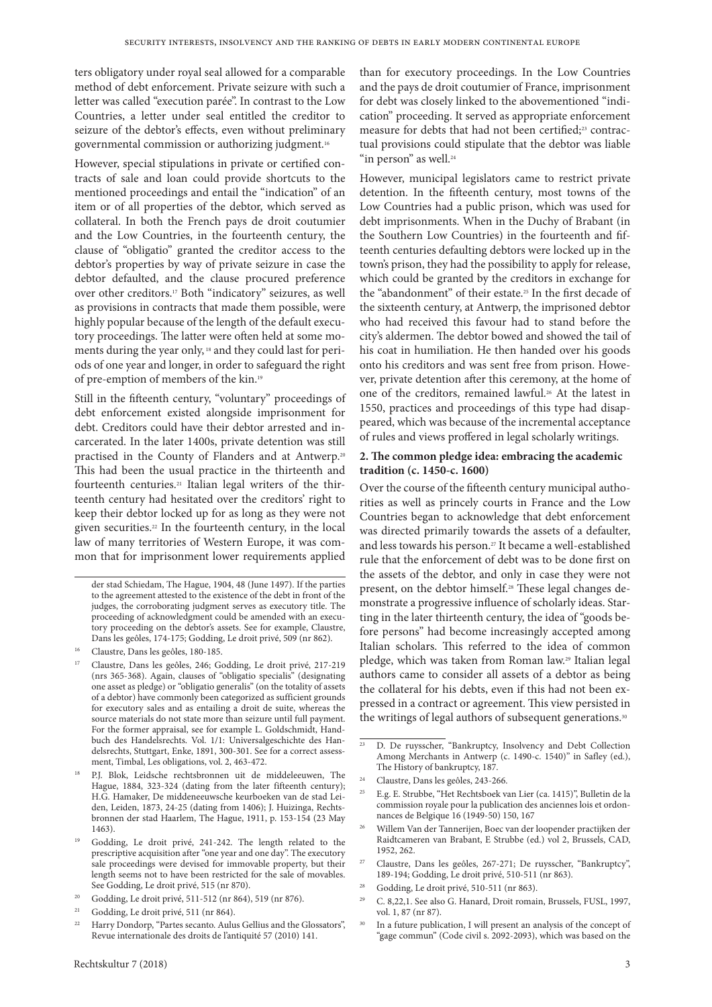ters obligatory under royal seal allowed for a comparable method of debt enforcement. Private seizure with such a letter was called "execution parée". In contrast to the Low Countries, a letter under seal entitled the creditor to seizure of the debtor's effects, even without preliminary governmental commission or authorizing judgment.16

However, special stipulations in private or certified contracts of sale and loan could provide shortcuts to the mentioned proceedings and entail the "indication" of an item or of all properties of the debtor, which served as collateral. In both the French pays de droit coutumier and the Low Countries, in the fourteenth century, the clause of "obligatio" granted the creditor access to the debtor's properties by way of private seizure in case the debtor defaulted, and the clause procured preference over other creditors.17 Both "indicatory" seizures, as well as provisions in contracts that made them possible, were highly popular because of the length of the default executory proceedings. The latter were often held at some moments during the year only, 18 and they could last for periods of one year and longer, in order to safeguard the right of pre-emption of members of the kin.19

Still in the fifteenth century, "voluntary" proceedings of debt enforcement existed alongside imprisonment for debt. Creditors could have their debtor arrested and incarcerated. In the later 1400s, private detention was still practised in the County of Flanders and at Antwerp.20 This had been the usual practice in the thirteenth and fourteenth centuries.21 Italian legal writers of the thirteenth century had hesitated over the creditors' right to keep their debtor locked up for as long as they were not given securities.<sup>22</sup> In the fourteenth century, in the local law of many territories of Western Europe, it was common that for imprisonment lower requirements applied

der stad Schiedam, The Hague, 1904, 48 (June 1497). If the parties to the agreement attested to the existence of the debt in front of the judges, the corroborating judgment serves as executory title. The proceeding of acknowledgment could be amended with an executory proceeding on the debtor's assets. See for example, Claustre, Dans les geôles, 174-175; Godding, Le droit privé, 509 (nr 862).

- <sup>16</sup> Claustre, Dans les geôles, 180-185.
- <sup>17</sup> Claustre, Dans les geôles, 246; Godding, Le droit privé, 217-219 (nrs 365-368). Again, clauses of "obligatio specialis" (designating one asset as pledge) or "obligatio generalis" (on the totality of assets of a debtor) have commonly been categorized as sufficient grounds for executory sales and as entailing a droit de suite, whereas the source materials do not state more than seizure until full payment. For the former appraisal, see for example L. Goldschmidt, Handbuch des Handelsrechts. Vol. 1/1: Universalgeschichte des Handelsrechts, Stuttgart, Enke, 1891, 300-301. See for a correct assessment, Timbal, Les obligations, vol. 2, 463-472.
- <sup>18</sup> P.J. Blok, Leidsche rechtsbronnen uit de middeleeuwen, The Hague, 1884, 323-324 (dating from the later fifteenth century); H.G. Hamaker, De middeneeuwsche keurboeken van de stad Leiden, Leiden, 1873, 24-25 (dating from 1406); J. Huizinga, Rechtsbronnen der stad Haarlem, The Hague, 1911, p. 153-154 (23 May 1463).
- <sup>19</sup> Godding, Le droit privé, 241-242. The length related to the prescriptive acquisition after "one year and one day". The executory sale proceedings were devised for immovable property, but their length seems not to have been restricted for the sale of movables. See Godding, Le droit privé, 515 (nr 870).
- <sup>20</sup> Godding, Le droit privé, 511-512 (nr 864), 519 (nr 876).
- <sup>21</sup> Godding, Le droit privé, 511 (nr 864).

than for executory proceedings. In the Low Countries and the pays de droit coutumier of France, imprisonment for debt was closely linked to the abovementioned "indication" proceeding. It served as appropriate enforcement measure for debts that had not been certified;<sup>23</sup> contractual provisions could stipulate that the debtor was liable "in person" as well.24

However, municipal legislators came to restrict private detention. In the fifteenth century, most towns of the Low Countries had a public prison, which was used for debt imprisonments. When in the Duchy of Brabant (in the Southern Low Countries) in the fourteenth and fifteenth centuries defaulting debtors were locked up in the town's prison, they had the possibility to apply for release, which could be granted by the creditors in exchange for the "abandonment" of their estate.25 In the first decade of the sixteenth century, at Antwerp, the imprisoned debtor who had received this favour had to stand before the city's aldermen. The debtor bowed and showed the tail of his coat in humiliation. He then handed over his goods onto his creditors and was sent free from prison. However, private detention after this ceremony, at the home of one of the creditors, remained lawful.<sup>26</sup> At the latest in 1550, practices and proceedings of this type had disappeared, which was because of the incremental acceptance of rules and views proffered in legal scholarly writings.

## **2. The common pledge idea: embracing the academic tradition (c. 1450-c. 1600)**

Over the course of the fifteenth century municipal authorities as well as princely courts in France and the Low Countries began to acknowledge that debt enforcement was directed primarily towards the assets of a defaulter, and less towards his person.27 It became a well-established rule that the enforcement of debt was to be done first on the assets of the debtor, and only in case they were not present, on the debtor himself.28 These legal changes demonstrate a progressive influence of scholarly ideas. Starting in the later thirteenth century, the idea of "goods before persons" had become increasingly accepted among Italian scholars. This referred to the idea of common pledge, which was taken from Roman law.29 Italian legal authors came to consider all assets of a debtor as being the collateral for his debts, even if this had not been expressed in a contract or agreement. This view persisted in the writings of legal authors of subsequent generations.<sup>30</sup>

- <sup>24</sup> Claustre, Dans les geôles, 243-266.
- <sup>25</sup> E.g. E. Strubbe, "Het Rechtsboek van Lier (ca. 1415)", Bulletin de la commission royale pour la publication des anciennes lois et ordonnances de Belgique 16 (1949-50) 150, 167
- <sup>26</sup> Willem Van der Tannerijen, Boec van der loopender practijken der Raidtcameren van Brabant, E Strubbe (ed.) vol 2, Brussels, CAD, 1952, 262.
- <sup>27</sup> Claustre, Dans les geôles, 267-271; De ruysscher, "Bankruptcy", 189-194; Godding, Le droit privé, 510-511 (nr 863).
- <sup>28</sup> Godding, Le droit privé, 510-511 (nr 863).
- C. 8,22,1. See also G. Hanard, Droit romain, Brussels, FUSL, 1997, vol. 1, 87 (nr 87).
- In a future publication, I will present an analysis of the concept of "gage commun" (Code civil s. 2092-2093), which was based on the

<sup>&</sup>lt;sup>22</sup> Harry Dondorp, "Partes secanto. Aulus Gellius and the Glossators", Revue internationale des droits de l'antiquité 57 (2010) 141.

<sup>23</sup> D. De ruysscher, "Bankruptcy, Insolvency and Debt Collection Among Merchants in Antwerp (c. 1490-c. 1540)" in Safley (ed.), The History of bankruptcy, 187.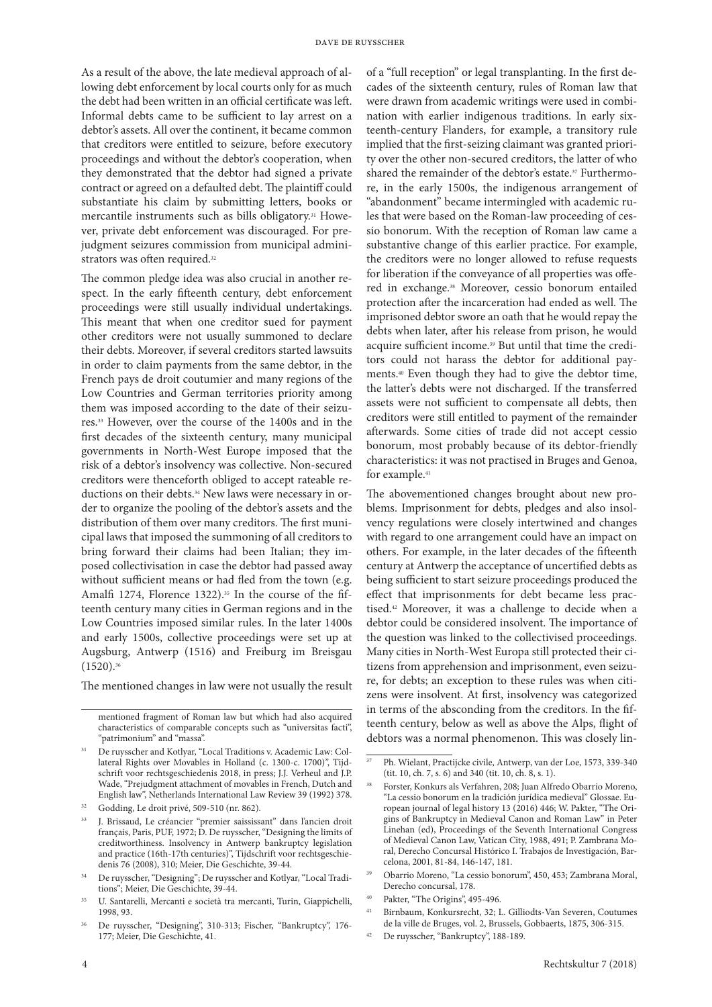As a result of the above, the late medieval approach of allowing debt enforcement by local courts only for as much the debt had been written in an official certificate was left. Informal debts came to be sufficient to lay arrest on a debtor's assets. All over the continent, it became common that creditors were entitled to seizure, before executory proceedings and without the debtor's cooperation, when they demonstrated that the debtor had signed a private contract or agreed on a defaulted debt. The plaintiff could substantiate his claim by submitting letters, books or mercantile instruments such as bills obligatory.31 However, private debt enforcement was discouraged. For prejudgment seizures commission from municipal administrators was often required.<sup>32</sup>

The common pledge idea was also crucial in another respect. In the early fifteenth century, debt enforcement proceedings were still usually individual undertakings. This meant that when one creditor sued for payment other creditors were not usually summoned to declare their debts. Moreover, if several creditors started lawsuits in order to claim payments from the same debtor, in the French pays de droit coutumier and many regions of the Low Countries and German territories priority among them was imposed according to the date of their seizures.33 However, over the course of the 1400s and in the first decades of the sixteenth century, many municipal governments in North-West Europe imposed that the risk of a debtor's insolvency was collective. Non-secured creditors were thenceforth obliged to accept rateable reductions on their debts.<sup>34</sup> New laws were necessary in order to organize the pooling of the debtor's assets and the distribution of them over many creditors. The first municipal laws that imposed the summoning of all creditors to bring forward their claims had been Italian; they imposed collectivisation in case the debtor had passed away without sufficient means or had fled from the town (e.g. Amalfi 1274, Florence 1322).<sup>35</sup> In the course of the fifteenth century many cities in German regions and in the Low Countries imposed similar rules. In the later 1400s and early 1500s, collective proceedings were set up at Augsburg, Antwerp (1516) and Freiburg im Breisgau  $(1520).$ <sup>36</sup>

The mentioned changes in law were not usually the result

of a "full reception" or legal transplanting. In the first decades of the sixteenth century, rules of Roman law that were drawn from academic writings were used in combination with earlier indigenous traditions. In early sixteenth-century Flanders, for example, a transitory rule implied that the first-seizing claimant was granted priority over the other non-secured creditors, the latter of who shared the remainder of the debtor's estate.<sup>37</sup> Furthermore, in the early 1500s, the indigenous arrangement of "abandonment" became intermingled with academic rules that were based on the Roman-law proceeding of cessio bonorum. With the reception of Roman law came a substantive change of this earlier practice. For example, the creditors were no longer allowed to refuse requests for liberation if the conveyance of all properties was offered in exchange.38 Moreover, cessio bonorum entailed protection after the incarceration had ended as well. The imprisoned debtor swore an oath that he would repay the debts when later, after his release from prison, he would acquire sufficient income.39 But until that time the creditors could not harass the debtor for additional payments.40 Even though they had to give the debtor time, the latter's debts were not discharged. If the transferred assets were not sufficient to compensate all debts, then creditors were still entitled to payment of the remainder afterwards. Some cities of trade did not accept cessio bonorum, most probably because of its debtor-friendly characteristics: it was not practised in Bruges and Genoa, for example.<sup>41</sup>

The abovementioned changes brought about new problems. Imprisonment for debts, pledges and also insolvency regulations were closely intertwined and changes with regard to one arrangement could have an impact on others. For example, in the later decades of the fifteenth century at Antwerp the acceptance of uncertified debts as being sufficient to start seizure proceedings produced the effect that imprisonments for debt became less practised.42 Moreover, it was a challenge to decide when a debtor could be considered insolvent. The importance of the question was linked to the collectivised proceedings. Many cities in North-West Europa still protected their citizens from apprehension and imprisonment, even seizure, for debts; an exception to these rules was when citizens were insolvent. At first, insolvency was categorized in terms of the absconding from the creditors. In the fifteenth century, below as well as above the Alps, flight of debtors was a normal phenomenon. This was closely lin-

Pakter, "The Origins", 495-496.

mentioned fragment of Roman law but which had also acquired characteristics of comparable concepts such as "universitas facti", "patrimonium" and "massa".

<sup>31</sup> De ruysscher and Kotlyar, "Local Traditions v. Academic Law: Collateral Rights over Movables in Holland (c. 1300-c. 1700)", Tijdschrift voor rechtsgeschiedenis 2018, in press; J.J. Verheul and J.P. Wade, "Prejudgment attachment of movables in French, Dutch and English law", Netherlands International Law Review 39 (1992) 378.

<sup>32</sup> Godding, Le droit privé, 509-510 (nr. 862).

<sup>33</sup> J. Brissaud, Le créancier "premier saississant" dans l'ancien droit français, Paris, PUF, 1972; D. De ruysscher, "Designing the limits of creditworthiness. Insolvency in Antwerp bankruptcy legislation and practice (16th-17th centuries)", Tijdschrift voor rechtsgeschiedenis 76 (2008), 310; Meier, Die Geschichte, 39-44.

<sup>34</sup> De ruysscher, "Designing"; De ruysscher and Kotlyar, "Local Traditions"; Meier, Die Geschichte, 39-44.

<sup>35</sup> U. Santarelli, Mercanti e società tra mercanti, Turin, Giappichelli, 1998, 93.

<sup>36</sup> De ruysscher, "Designing", 310-313; Fischer, "Bankruptcy", 176- 177; Meier, Die Geschichte, 41.

<sup>37</sup> Ph. Wielant, Practijcke civile, Antwerp, van der Loe, 1573, 339-340 (tit. 10, ch. 7, s. 6) and 340 (tit. 10, ch. 8, s. 1).

<sup>38</sup> Forster, Konkurs als Verfahren, 208; Juan Alfredo Obarrio Moreno, "La cessio bonorum en la tradición jurídica medieval" Glossae. European journal of legal history 13 (2016) 446; W. Pakter, "The Origins of Bankruptcy in Medieval Canon and Roman Law" in Peter Linehan (ed), Proceedings of the Seventh International Congress of Medieval Canon Law, Vatican City, 1988, 491; P. Zambrana Moral, Derecho Concursal Histórico I. Trabajos de Investigación, Barcelona, 2001, 81-84, 146-147, 181.

<sup>39</sup> Obarrio Moreno, "La cessio bonorum", 450, 453; Zambrana Moral, Derecho concursal, 178.

<sup>41</sup> Birnbaum, Konkursrecht, 32; L. Gilliodts-Van Severen, Coutumes de la ville de Bruges, vol. 2, Brussels, Gobbaerts, 1875, 306-315.

<sup>42</sup> De ruysscher, "Bankruptcy", 188-189.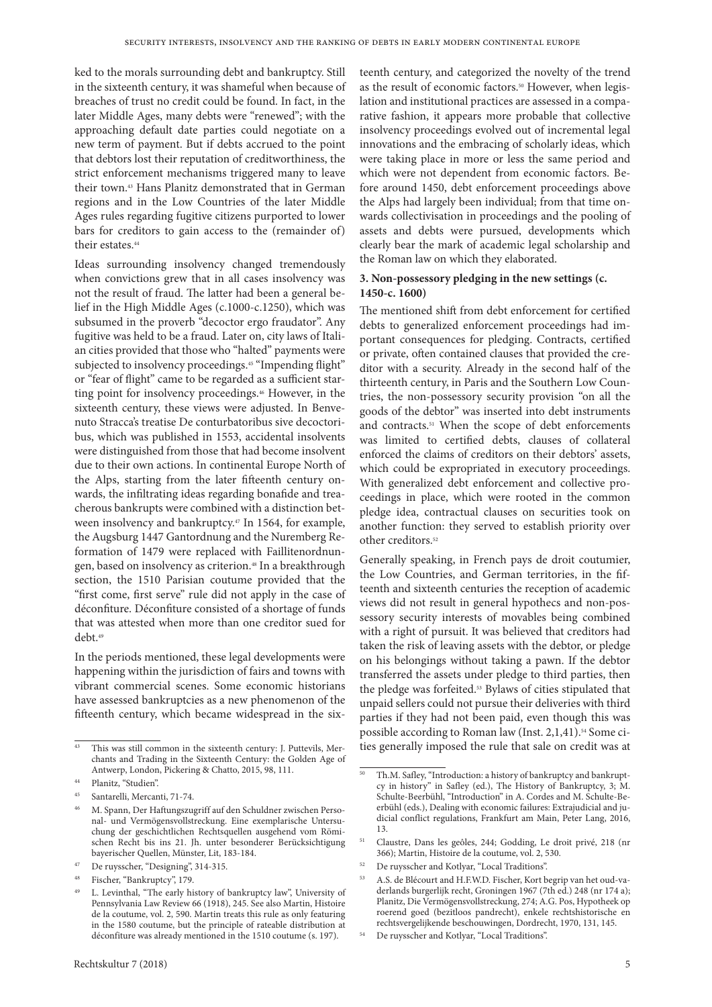ked to the morals surrounding debt and bankruptcy. Still in the sixteenth century, it was shameful when because of breaches of trust no credit could be found. In fact, in the later Middle Ages, many debts were "renewed"; with the approaching default date parties could negotiate on a new term of payment. But if debts accrued to the point that debtors lost their reputation of creditworthiness, the strict enforcement mechanisms triggered many to leave their town.43 Hans Planitz demonstrated that in German regions and in the Low Countries of the later Middle Ages rules regarding fugitive citizens purported to lower bars for creditors to gain access to the (remainder of) their estates.44

Ideas surrounding insolvency changed tremendously when convictions grew that in all cases insolvency was not the result of fraud. The latter had been a general belief in the High Middle Ages (c.1000-c.1250), which was subsumed in the proverb "decoctor ergo fraudator". Any fugitive was held to be a fraud. Later on, city laws of Italian cities provided that those who "halted" payments were subjected to insolvency proceedings.<sup>45</sup> "Impending flight" or "fear of flight" came to be regarded as a sufficient starting point for insolvency proceedings.<sup>46</sup> However, in the sixteenth century, these views were adjusted. In Benvenuto Stracca's treatise De conturbatoribus sive decoctoribus, which was published in 1553, accidental insolvents were distinguished from those that had become insolvent due to their own actions. In continental Europe North of the Alps, starting from the later fifteenth century onwards, the infiltrating ideas regarding bonafide and treacherous bankrupts were combined with a distinction between insolvency and bankruptcy.<sup>47</sup> In 1564, for example, the Augsburg 1447 Gantordnung and the Nuremberg Reformation of 1479 were replaced with Faillitenordnungen, based on insolvency as criterion.<sup>48</sup> In a breakthrough section, the 1510 Parisian coutume provided that the "first come, first serve" rule did not apply in the case of déconfiture. Déconfiture consisted of a shortage of funds that was attested when more than one creditor sued for debt.49

In the periods mentioned, these legal developments were happening within the jurisdiction of fairs and towns with vibrant commercial scenes. Some economic historians have assessed bankruptcies as a new phenomenon of the fifteenth century, which became widespread in the six-

teenth century, and categorized the novelty of the trend as the result of economic factors.<sup>50</sup> However, when legislation and institutional practices are assessed in a comparative fashion, it appears more probable that collective insolvency proceedings evolved out of incremental legal innovations and the embracing of scholarly ideas, which were taking place in more or less the same period and which were not dependent from economic factors. Before around 1450, debt enforcement proceedings above the Alps had largely been individual; from that time onwards collectivisation in proceedings and the pooling of assets and debts were pursued, developments which clearly bear the mark of academic legal scholarship and the Roman law on which they elaborated.

## **3. Non-possessory pledging in the new settings (c. 1450-c. 1600)**

The mentioned shift from debt enforcement for certified debts to generalized enforcement proceedings had important consequences for pledging. Contracts, certified or private, often contained clauses that provided the creditor with a security. Already in the second half of the thirteenth century, in Paris and the Southern Low Countries, the non-possessory security provision "on all the goods of the debtor" was inserted into debt instruments and contracts.51 When the scope of debt enforcements was limited to certified debts, clauses of collateral enforced the claims of creditors on their debtors' assets, which could be expropriated in executory proceedings. With generalized debt enforcement and collective proceedings in place, which were rooted in the common pledge idea, contractual clauses on securities took on another function: they served to establish priority over other creditors.52

Generally speaking, in French pays de droit coutumier, the Low Countries, and German territories, in the fifteenth and sixteenth centuries the reception of academic views did not result in general hypothecs and non-possessory security interests of movables being combined with a right of pursuit. It was believed that creditors had taken the risk of leaving assets with the debtor, or pledge on his belongings without taking a pawn. If the debtor transferred the assets under pledge to third parties, then the pledge was forfeited.53 Bylaws of cities stipulated that unpaid sellers could not pursue their deliveries with third parties if they had not been paid, even though this was possible according to Roman law (Inst. 2,1,41).54 Some cities generally imposed the rule that sale on credit was at

This was still common in the sixteenth century: J. Puttevils, Merchants and Trading in the Sixteenth Century: the Golden Age of Antwerp, London, Pickering & Chatto, 2015, 98, 111.

<sup>44</sup> Planitz, "Studien".

<sup>45</sup> Santarelli, Mercanti, 71-74.

<sup>46</sup> M. Spann, Der Haftungszugriff auf den Schuldner zwischen Personal- und Vermögensvollstreckung. Eine exemplarische Untersuchung der geschichtlichen Rechtsquellen ausgehend vom Römischen Recht bis ins 21. Jh. unter besonderer Berücksichtigung bayerischer Quellen, Münster, Lit, 183-184.

<sup>47</sup> De ruysscher, "Designing", 314-315.

Fischer, "Bankruptcy", 179.

L. Levinthal, "The early history of bankruptcy law", University of Pennsylvania Law Review 66 (1918), 245. See also Martin, Histoire de la coutume, vol. 2, 590. Martin treats this rule as only featuring in the 1580 coutume, but the principle of rateable distribution at déconfiture was already mentioned in the 1510 coutume (s. 197).

Th.M. Safley, "Introduction: a history of bankruptcy and bankruptcy in history" in Safley (ed.), The History of Bankruptcy, 3; M. Schulte-Beerbühl, "Introduction" in A. Cordes and M. Schulte-Beerbühl (eds.), Dealing with economic failures: Extrajudicial and judicial conflict regulations, Frankfurt am Main, Peter Lang, 2016, 13.

<sup>51</sup> Claustre, Dans les geôles, 244; Godding, Le droit privé, 218 (nr 366); Martin, Histoire de la coutume, vol. 2, 530.

<sup>52</sup> De ruysscher and Kotlyar, "Local Traditions".

<sup>53</sup> A.S. de Blécourt and H.F.W.D. Fischer, Kort begrip van het oud-vaderlands burgerlijk recht, Groningen 1967 (7th ed.) 248 (nr 174 a); Planitz, Die Vermögensvollstreckung, 274; A.G. Pos, Hypotheek op roerend goed (bezitloos pandrecht), enkele rechtshistorische en rechtsvergelijkende beschouwingen, Dordrecht, 1970, 131, 145.

<sup>54</sup> De ruysscher and Kotlyar, "Local Traditions".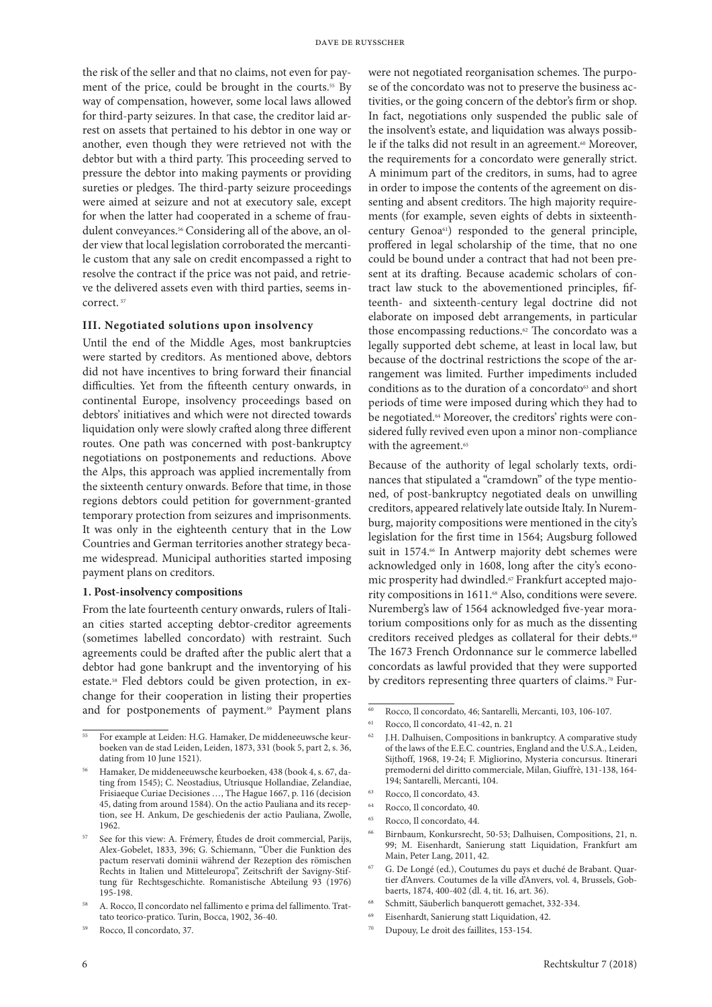the risk of the seller and that no claims, not even for payment of the price, could be brought in the courts.<sup>55</sup> By way of compensation, however, some local laws allowed for third-party seizures. In that case, the creditor laid arrest on assets that pertained to his debtor in one way or another, even though they were retrieved not with the debtor but with a third party. This proceeding served to pressure the debtor into making payments or providing sureties or pledges. The third-party seizure proceedings were aimed at seizure and not at executory sale, except for when the latter had cooperated in a scheme of fraudulent conveyances.56 Considering all of the above, an older view that local legislation corroborated the mercantile custom that any sale on credit encompassed a right to resolve the contract if the price was not paid, and retrieve the delivered assets even with third parties, seems incorrect.<sup>57</sup>

## **III. Negotiated solutions upon insolvency**

Until the end of the Middle Ages, most bankruptcies were started by creditors. As mentioned above, debtors did not have incentives to bring forward their financial difficulties. Yet from the fifteenth century onwards, in continental Europe, insolvency proceedings based on debtors' initiatives and which were not directed towards liquidation only were slowly crafted along three different routes. One path was concerned with post-bankruptcy negotiations on postponements and reductions. Above the Alps, this approach was applied incrementally from the sixteenth century onwards. Before that time, in those regions debtors could petition for government-granted temporary protection from seizures and imprisonments. It was only in the eighteenth century that in the Low Countries and German territories another strategy became widespread. Municipal authorities started imposing payment plans on creditors.

#### **1. Post-insolvency compositions**

From the late fourteenth century onwards, rulers of Italian cities started accepting debtor-creditor agreements (sometimes labelled concordato) with restraint. Such agreements could be drafted after the public alert that a debtor had gone bankrupt and the inventorying of his estate.58 Fled debtors could be given protection, in exchange for their cooperation in listing their properties and for postponements of payment.<sup>59</sup> Payment plans were not negotiated reorganisation schemes. The purpose of the concordato was not to preserve the business activities, or the going concern of the debtor's firm or shop. In fact, negotiations only suspended the public sale of the insolvent's estate, and liquidation was always possible if the talks did not result in an agreement.<sup>60</sup> Moreover, the requirements for a concordato were generally strict. A minimum part of the creditors, in sums, had to agree in order to impose the contents of the agreement on dissenting and absent creditors. The high majority requirements (for example, seven eights of debts in sixteenthcentury Genoa61) responded to the general principle, proffered in legal scholarship of the time, that no one could be bound under a contract that had not been present at its drafting. Because academic scholars of contract law stuck to the abovementioned principles, fifteenth- and sixteenth-century legal doctrine did not elaborate on imposed debt arrangements, in particular those encompassing reductions.<sup>62</sup> The concordato was a legally supported debt scheme, at least in local law, but because of the doctrinal restrictions the scope of the arrangement was limited. Further impediments included conditions as to the duration of a concordato<sup>63</sup> and short periods of time were imposed during which they had to be negotiated.<sup>64</sup> Moreover, the creditors' rights were considered fully revived even upon a minor non-compliance with the agreement.<sup>65</sup>

Because of the authority of legal scholarly texts, ordinances that stipulated a "cramdown" of the type mentioned, of post-bankruptcy negotiated deals on unwilling creditors, appeared relatively late outside Italy. In Nuremburg, majority compositions were mentioned in the city's legislation for the first time in 1564; Augsburg followed suit in 1574.<sup>66</sup> In Antwerp majority debt schemes were acknowledged only in 1608, long after the city's economic prosperity had dwindled.<sup>67</sup> Frankfurt accepted majority compositions in 1611.<sup>68</sup> Also, conditions were severe. Nuremberg's law of 1564 acknowledged five-year moratorium compositions only for as much as the dissenting creditors received pledges as collateral for their debts.<sup>69</sup> The 1673 French Ordonnance sur le commerce labelled concordats as lawful provided that they were supported by creditors representing three quarters of claims.70 Fur-

- Rocco, Il concordato, 40.
- Rocco, Il concordato, 44.
- <sup>66</sup> Birnbaum, Konkursrecht, 50-53; Dalhuisen, Compositions, 21, n. 99; M. Eisenhardt, Sanierung statt Liquidation, Frankfurt am Main, Peter Lang, 2011, 42.
- <sup>67</sup> G. De Longé (ed.), Coutumes du pays et duché de Brabant. Quartier d'Anvers. Coutumes de la ville d'Anvers, vol. 4, Brussels, Gobbaerts, 1874, 400-402 (dl. 4, tit. 16, art. 36).
- <sup>68</sup> Schmitt, Säuberlich banquerott gemachet, 332-334.
- <sup>69</sup> Eisenhardt, Sanierung statt Liquidation, 42.
- Dupouy, Le droit des faillites, 153-154.

<sup>55</sup> For example at Leiden: H.G. Hamaker, De middeneeuwsche keurboeken van de stad Leiden, Leiden, 1873, 331 (book 5, part 2, s. 36, dating from 10 June 1521).

<sup>56</sup> Hamaker, De middeneeuwsche keurboeken, 438 (book 4, s. 67, dating from 1545); C. Neostadius, Utriusque Hollandiae, Zelandiae, Frisiaeque Curiae Decisiones …, The Hague 1667, p. 116 (decision 45, dating from around 1584). On the actio Pauliana and its reception, see H. Ankum, De geschiedenis der actio Pauliana, Zwolle, 1962.

See for this view: A. Frémery, Études de droit commercial, Parijs, Alex-Gobelet, 1833, 396; G. Schiemann, "Über die Funktion des pactum reservati dominii während der Rezeption des römischen Rechts in Italien und Mitteleuropa", Zeitschrift der Savigny-Stiftung für Rechtsgeschichte. Romanistische Abteilung 93 (1976) 195-198.

<sup>58</sup> A. Rocco, Il concordato nel fallimento e prima del fallimento. Trattato teorico-pratico. Turin, Bocca, 1902, 36-40.

Rocco, Il concordato, 37.

<sup>60</sup> Rocco, Il concordato, 46; Santarelli, Mercanti, 103, 106-107.

<sup>61</sup> Rocco, Il concordato, 41-42, n. 21

<sup>62</sup> J.H. Dalhuisen, Compositions in bankruptcy. A comparative study of the laws of the E.E.C. countries, England and the U.S.A., Leiden, Sijthoff, 1968, 19-24; F. Migliorino, Mysteria concursus. Itinerari premoderni del diritto commerciale, Milan, Giuffrè, 131-138, 164- 194; Santarelli, Mercanti, 104.

<sup>63</sup> Rocco, Il concordato, 43.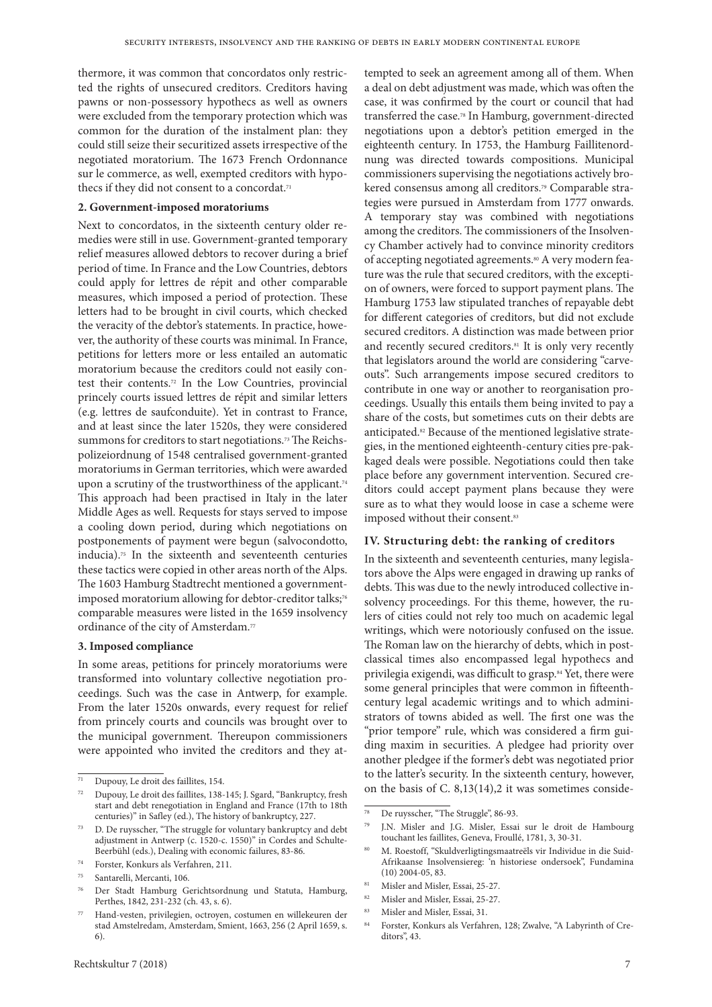thermore, it was common that concordatos only restricted the rights of unsecured creditors. Creditors having pawns or non-possessory hypothecs as well as owners were excluded from the temporary protection which was common for the duration of the instalment plan: they could still seize their securitized assets irrespective of the negotiated moratorium. The 1673 French Ordonnance sur le commerce, as well, exempted creditors with hypothecs if they did not consent to a concordat.<sup>71</sup>

#### **2. Government-imposed moratoriums**

Next to concordatos, in the sixteenth century older remedies were still in use. Government-granted temporary relief measures allowed debtors to recover during a brief period of time. In France and the Low Countries, debtors could apply for lettres de répit and other comparable measures, which imposed a period of protection. These letters had to be brought in civil courts, which checked the veracity of the debtor's statements. In practice, however, the authority of these courts was minimal. In France, petitions for letters more or less entailed an automatic moratorium because the creditors could not easily contest their contents.72 In the Low Countries, provincial princely courts issued lettres de répit and similar letters (e.g. lettres de saufconduite). Yet in contrast to France, and at least since the later 1520s, they were considered summons for creditors to start negotiations.<sup>73</sup> The Reichspolizeiordnung of 1548 centralised government-granted moratoriums in German territories, which were awarded upon a scrutiny of the trustworthiness of the applicant.<sup>74</sup> This approach had been practised in Italy in the later Middle Ages as well. Requests for stays served to impose a cooling down period, during which negotiations on postponements of payment were begun (salvocondotto, inducia).75 In the sixteenth and seventeenth centuries these tactics were copied in other areas north of the Alps. The 1603 Hamburg Stadtrecht mentioned a governmentimposed moratorium allowing for debtor-creditor talks;<sup>76</sup> comparable measures were listed in the 1659 insolvency ordinance of the city of Amsterdam.<sup>77</sup>

## **3. Imposed compliance**

In some areas, petitions for princely moratoriums were transformed into voluntary collective negotiation proceedings. Such was the case in Antwerp, for example. From the later 1520s onwards, every request for relief from princely courts and councils was brought over to the municipal government. Thereupon commissioners were appointed who invited the creditors and they at-

tempted to seek an agreement among all of them. When a deal on debt adjustment was made, which was often the case, it was confirmed by the court or council that had transferred the case.78 In Hamburg, government-directed negotiations upon a debtor's petition emerged in the eighteenth century. In 1753, the Hamburg Faillitenordnung was directed towards compositions. Municipal commissioners supervising the negotiations actively brokered consensus among all creditors.<sup>79</sup> Comparable strategies were pursued in Amsterdam from 1777 onwards. A temporary stay was combined with negotiations among the creditors. The commissioners of the Insolvency Chamber actively had to convince minority creditors of accepting negotiated agreements.<sup>80</sup> A very modern feature was the rule that secured creditors, with the exception of owners, were forced to support payment plans. The Hamburg 1753 law stipulated tranches of repayable debt for different categories of creditors, but did not exclude secured creditors. A distinction was made between prior and recently secured creditors.<sup>81</sup> It is only very recently that legislators around the world are considering "carveouts". Such arrangements impose secured creditors to contribute in one way or another to reorganisation proceedings. Usually this entails them being invited to pay a share of the costs, but sometimes cuts on their debts are anticipated.82 Because of the mentioned legislative strategies, in the mentioned eighteenth-century cities pre-packaged deals were possible. Negotiations could then take place before any government intervention. Secured creditors could accept payment plans because they were sure as to what they would loose in case a scheme were imposed without their consent.<sup>83</sup>

## **IV. Structuring debt: the ranking of creditors**

In the sixteenth and seventeenth centuries, many legislators above the Alps were engaged in drawing up ranks of debts. This was due to the newly introduced collective insolvency proceedings. For this theme, however, the rulers of cities could not rely too much on academic legal writings, which were notoriously confused on the issue. The Roman law on the hierarchy of debts, which in postclassical times also encompassed legal hypothecs and privilegia exigendi, was difficult to grasp.<sup>84</sup> Yet, there were some general principles that were common in fifteenthcentury legal academic writings and to which administrators of towns abided as well. The first one was the "prior tempore" rule, which was considered a firm guiding maxim in securities. A pledgee had priority over another pledgee if the former's debt was negotiated prior to the latter's security. In the sixteenth century, however, on the basis of C. 8,13(14),2 it was sometimes conside-

 $\overline{71}$  Dupouy, Le droit des faillites, 154.

<sup>72</sup> Dupouy, Le droit des faillites, 138-145; J. Sgard, "Bankruptcy, fresh start and debt renegotiation in England and France (17th to 18th centuries)" in Safley (ed.), The history of bankruptcy, 227.

D. De ruysscher, "The struggle for voluntary bankruptcy and debt adjustment in Antwerp (c. 1520-c. 1550)" in Cordes and Schulte-Beerbühl (eds.), Dealing with economic failures, 83-86.

<sup>74</sup> Forster, Konkurs als Verfahren, 211.

<sup>75</sup> Santarelli, Mercanti, 106.

<sup>76</sup> Der Stadt Hamburg Gerichtsordnung und Statuta, Hamburg, Perthes, 1842, 231-232 (ch. 43, s. 6).

Hand-vesten, privilegien, octroyen, costumen en willekeuren der stad Amstelredam, Amsterdam, Smient, 1663, 256 (2 April 1659, s. 6).

<sup>78</sup> De ruysscher, "The Struggle", 86-93.

J.N. Misler and J.G. Misler, Essai sur le droit de Hambourg touchant les faillites, Geneva, Froullé, 1781, 3, 30-31.

<sup>80</sup> M. Roestoff, "Skuldverligtingsmaatreëls vir Individue in die Suid-Afrikaanse Insolvensiereg: 'n historiese ondersoek", Fundamina (10) 2004-05, 83.

<sup>81</sup> Misler and Misler, Essai, 25-27.

<sup>82</sup> Misler and Misler, Essai, 25-27.

 $83$  Misler and Misler, Essai, 31.<br> $84$  Eorster, Konkurs als Verfah.

<sup>84</sup> Forster, Konkurs als Verfahren, 128; Zwalve, "A Labyrinth of Creditors", 43.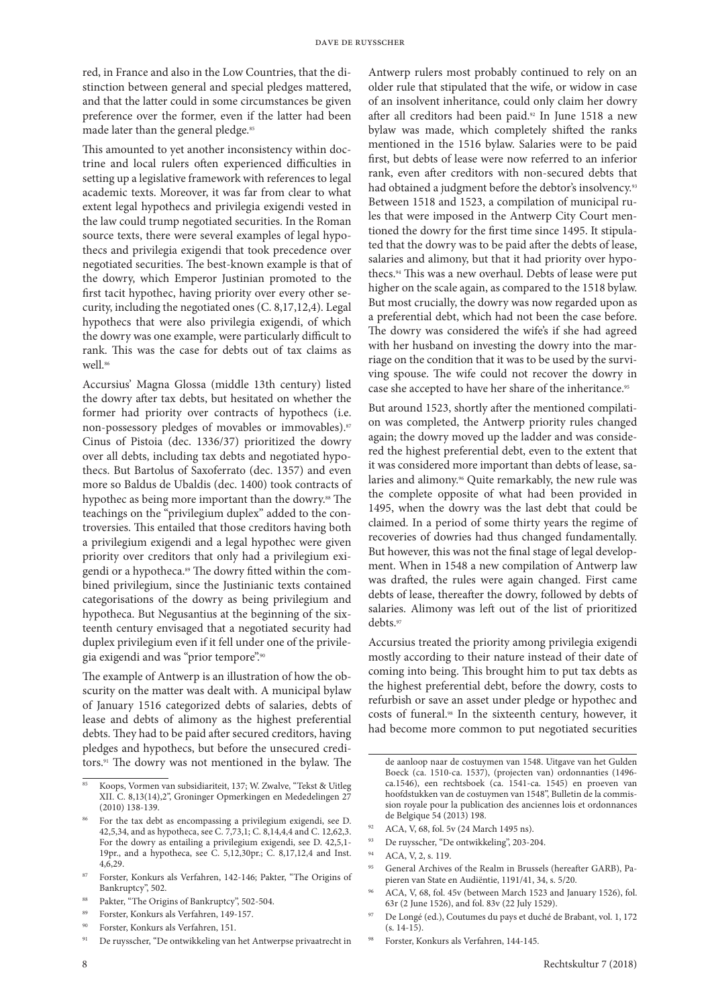red, in France and also in the Low Countries, that the distinction between general and special pledges mattered, and that the latter could in some circumstances be given preference over the former, even if the latter had been made later than the general pledge.<sup>85</sup>

This amounted to yet another inconsistency within doctrine and local rulers often experienced difficulties in setting up a legislative framework with references to legal academic texts. Moreover, it was far from clear to what extent legal hypothecs and privilegia exigendi vested in the law could trump negotiated securities. In the Roman source texts, there were several examples of legal hypothecs and privilegia exigendi that took precedence over negotiated securities. The best-known example is that of the dowry, which Emperor Justinian promoted to the first tacit hypothec, having priority over every other security, including the negotiated ones (C. 8,17,12,4). Legal hypothecs that were also privilegia exigendi, of which the dowry was one example, were particularly difficult to rank. This was the case for debts out of tax claims as well.<sup>86</sup>

Accursius' Magna Glossa (middle 13th century) listed the dowry after tax debts, but hesitated on whether the former had priority over contracts of hypothecs (i.e. non-possessory pledges of movables or immovables).<sup>87</sup> Cinus of Pistoia (dec. 1336/37) prioritized the dowry over all debts, including tax debts and negotiated hypothecs. But Bartolus of Saxoferrato (dec. 1357) and even more so Baldus de Ubaldis (dec. 1400) took contracts of hypothec as being more important than the dowry.<sup>88</sup> The teachings on the "privilegium duplex" added to the controversies. This entailed that those creditors having both a privilegium exigendi and a legal hypothec were given priority over creditors that only had a privilegium exigendi or a hypotheca.<sup>89</sup> The dowry fitted within the combined privilegium, since the Justinianic texts contained categorisations of the dowry as being privilegium and hypotheca. But Negusantius at the beginning of the sixteenth century envisaged that a negotiated security had duplex privilegium even if it fell under one of the privilegia exigendi and was "prior tempore".90

The example of Antwerp is an illustration of how the obscurity on the matter was dealt with. A municipal bylaw of January 1516 categorized debts of salaries, debts of lease and debts of alimony as the highest preferential debts. They had to be paid after secured creditors, having pledges and hypothecs, but before the unsecured creditors.91 The dowry was not mentioned in the bylaw. The

Antwerp rulers most probably continued to rely on an older rule that stipulated that the wife, or widow in case of an insolvent inheritance, could only claim her dowry after all creditors had been paid.92 In June 1518 a new bylaw was made, which completely shifted the ranks mentioned in the 1516 bylaw. Salaries were to be paid first, but debts of lease were now referred to an inferior rank, even after creditors with non-secured debts that had obtained a judgment before the debtor's insolvency.<sup>93</sup> Between 1518 and 1523, a compilation of municipal rules that were imposed in the Antwerp City Court mentioned the dowry for the first time since 1495. It stipulated that the dowry was to be paid after the debts of lease, salaries and alimony, but that it had priority over hypothecs.94 This was a new overhaul. Debts of lease were put higher on the scale again, as compared to the 1518 bylaw. But most crucially, the dowry was now regarded upon as a preferential debt, which had not been the case before. The dowry was considered the wife's if she had agreed with her husband on investing the dowry into the marriage on the condition that it was to be used by the surviving spouse. The wife could not recover the dowry in case she accepted to have her share of the inheritance.<sup>95</sup>

But around 1523, shortly after the mentioned compilation was completed, the Antwerp priority rules changed again; the dowry moved up the ladder and was considered the highest preferential debt, even to the extent that it was considered more important than debts of lease, salaries and alimony.<sup>96</sup> Quite remarkably, the new rule was the complete opposite of what had been provided in 1495, when the dowry was the last debt that could be claimed. In a period of some thirty years the regime of recoveries of dowries had thus changed fundamentally. But however, this was not the final stage of legal development. When in 1548 a new compilation of Antwerp law was drafted, the rules were again changed. First came debts of lease, thereafter the dowry, followed by debts of salaries. Alimony was left out of the list of prioritized debts.97

Accursius treated the priority among privilegia exigendi mostly according to their nature instead of their date of coming into being. This brought him to put tax debts as the highest preferential debt, before the dowry, costs to refurbish or save an asset under pledge or hypothec and costs of funeral.98 In the sixteenth century, however, it had become more common to put negotiated securities

- <sup>92</sup> ACA, V, 68, fol. 5v (24 March 1495 ns).
- <sup>93</sup> De ruysscher, "De ontwikkeling", 203-204.

- <sup>95</sup> General Archives of the Realm in Brussels (hereafter GARB), Papieren van State en Audiëntie, 1191/41, 34, s. 5/20.
- <sup>96</sup> ACA, V, 68, fol. 45v (between March 1523 and January 1526), fol. 63r (2 June 1526), and fol. 83v (22 July 1529).
- <sup>97</sup> De Longé (ed.), Coutumes du pays et duché de Brabant, vol. 1, 172  $(s. 14-15)$ .
- <sup>98</sup> Forster, Konkurs als Verfahren, 144-145.

<sup>85</sup> Koops, Vormen van subsidiariteit, 137; W. Zwalve, "Tekst & Uitleg XII. C. 8,13(14),2", Groninger Opmerkingen en Mededelingen 27 (2010) 138-139.

<sup>86</sup> For the tax debt as encompassing a privilegium exigendi, see D. 42,5,34, and as hypotheca, see C. 7,73,1; C. 8,14,4,4 and C. 12,62,3. For the dowry as entailing a privilegium exigendi, see D. 42,5,1- 19pr., and a hypotheca, see C. 5,12,30pr.; C. 8,17,12,4 and Inst. 4,6,29.

<sup>87</sup> Forster, Konkurs als Verfahren, 142-146; Pakter, "The Origins of Bankruptcy", 502.

Pakter, "The Origins of Bankruptcy", 502-504.

<sup>89</sup> Forster, Konkurs als Verfahren, 149-157.

<sup>90</sup> Forster, Konkurs als Verfahren, 151.

<sup>91</sup> De ruysscher, "De ontwikkeling van het Antwerpse privaatrecht in

de aanloop naar de costuymen van 1548. Uitgave van het Gulden Boeck (ca. 1510-ca. 1537), (projecten van) ordonnanties (1496 ca.1546), een rechtsboek (ca. 1541-ca. 1545) en proeven van hoofdstukken van de costuymen van 1548", Bulletin de la commission royale pour la publication des anciennes lois et ordonnances de Belgique 54 (2013) 198.

<sup>&</sup>lt;sup>94</sup> ACA, V, 2, s. 119.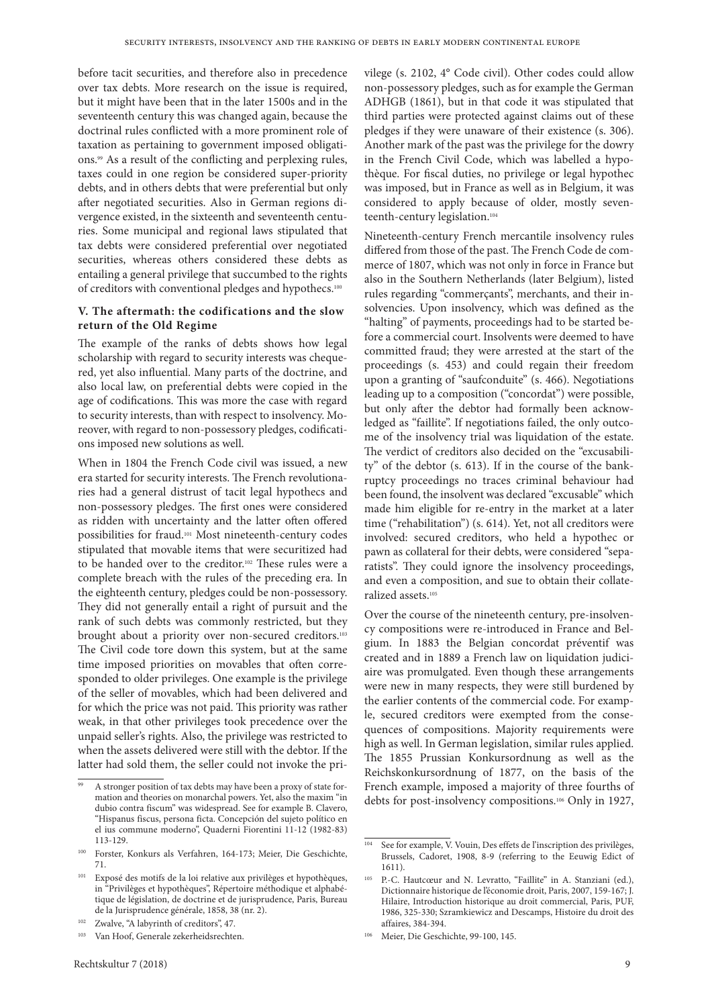before tacit securities, and therefore also in precedence over tax debts. More research on the issue is required, but it might have been that in the later 1500s and in the seventeenth century this was changed again, because the doctrinal rules conflicted with a more prominent role of taxation as pertaining to government imposed obligations.99 As a result of the conflicting and perplexing rules, taxes could in one region be considered super-priority debts, and in others debts that were preferential but only after negotiated securities. Also in German regions divergence existed, in the sixteenth and seventeenth centuries. Some municipal and regional laws stipulated that tax debts were considered preferential over negotiated securities, whereas others considered these debts as entailing a general privilege that succumbed to the rights of creditors with conventional pledges and hypothecs.100

## **V. The aftermath: the codifications and the slow return of the Old Regime**

The example of the ranks of debts shows how legal scholarship with regard to security interests was chequered, yet also influential. Many parts of the doctrine, and also local law, on preferential debts were copied in the age of codifications. This was more the case with regard to security interests, than with respect to insolvency. Moreover, with regard to non-possessory pledges, codifications imposed new solutions as well.

When in 1804 the French Code civil was issued, a new era started for security interests. The French revolutionaries had a general distrust of tacit legal hypothecs and non-possessory pledges. The first ones were considered as ridden with uncertainty and the latter often offered possibilities for fraud.101 Most nineteenth-century codes stipulated that movable items that were securitized had to be handed over to the creditor.102 These rules were a complete breach with the rules of the preceding era. In the eighteenth century, pledges could be non-possessory. They did not generally entail a right of pursuit and the rank of such debts was commonly restricted, but they brought about a priority over non-secured creditors.<sup>103</sup> The Civil code tore down this system, but at the same time imposed priorities on movables that often corresponded to older privileges. One example is the privilege of the seller of movables, which had been delivered and for which the price was not paid. This priority was rather weak, in that other privileges took precedence over the unpaid seller's rights. Also, the privilege was restricted to when the assets delivered were still with the debtor. If the latter had sold them, the seller could not invoke the pri-

vilege (s. 2102, 4° Code civil). Other codes could allow non-possessory pledges, such as for example the German ADHGB (1861), but in that code it was stipulated that third parties were protected against claims out of these pledges if they were unaware of their existence (s. 306). Another mark of the past was the privilege for the dowry in the French Civil Code, which was labelled a hypothèque. For fiscal duties, no privilege or legal hypothec was imposed, but in France as well as in Belgium, it was considered to apply because of older, mostly seventeenth-century legislation.<sup>104</sup>

Nineteenth-century French mercantile insolvency rules differed from those of the past. The French Code de commerce of 1807, which was not only in force in France but also in the Southern Netherlands (later Belgium), listed rules regarding "commerçants", merchants, and their insolvencies. Upon insolvency, which was defined as the "halting" of payments, proceedings had to be started before a commercial court. Insolvents were deemed to have committed fraud; they were arrested at the start of the proceedings (s. 453) and could regain their freedom upon a granting of "saufconduite" (s. 466). Negotiations leading up to a composition ("concordat") were possible, but only after the debtor had formally been acknowledged as "faillite". If negotiations failed, the only outcome of the insolvency trial was liquidation of the estate. The verdict of creditors also decided on the "excusability" of the debtor (s. 613). If in the course of the bankruptcy proceedings no traces criminal behaviour had been found, the insolvent was declared "excusable" which made him eligible for re-entry in the market at a later time ("rehabilitation") (s. 614). Yet, not all creditors were involved: secured creditors, who held a hypothec or pawn as collateral for their debts, were considered "separatists". They could ignore the insolvency proceedings, and even a composition, and sue to obtain their collateralized assets.105

Over the course of the nineteenth century, pre-insolvency compositions were re-introduced in France and Belgium. In 1883 the Belgian concordat préventif was created and in 1889 a French law on liquidation judiciaire was promulgated. Even though these arrangements were new in many respects, they were still burdened by the earlier contents of the commercial code. For example, secured creditors were exempted from the consequences of compositions. Majority requirements were high as well. In German legislation, similar rules applied. The 1855 Prussian Konkursordnung as well as the Reichskonkursordnung of 1877, on the basis of the French example, imposed a majority of three fourths of debts for post-insolvency compositions.106 Only in 1927,

A stronger position of tax debts may have been a proxy of state formation and theories on monarchal powers. Yet, also the maxim "in dubio contra fiscum" was widespread. See for example B. Clavero, "Hispanus fiscus, persona ficta. Concepción del sujeto político en el ius commune moderno", Quaderni Fiorentini 11-12 (1982-83) 113-129.

<sup>100</sup> Forster, Konkurs als Verfahren, 164-173; Meier, Die Geschichte, 71.

<sup>&</sup>lt;sup>101</sup> Exposé des motifs de la loi relative aux privilèges et hypothèques, in "Privilèges et hypothèques", Répertoire méthodique et alphabétique de législation, de doctrine et de jurisprudence, Paris, Bureau de la Jurisprudence générale, 1858, 38 (nr. 2).

<sup>&</sup>lt;sup>102</sup> Zwalve, "A labyrinth of creditors", 47.

<sup>103</sup> Van Hoof, Generale zekerheidsrechten.

<sup>&</sup>lt;sup>104</sup> See for example, V. Vouin, Des effets de l'inscription des privilèges, Brussels, Cadoret, 1908, 8-9 (referring to the Eeuwig Edict of 1611).

<sup>105</sup> P.-C. Hautcœur and N. Levratto, "Faillite" in A. Stanziani (ed.), Dictionnaire historique de l'économie droit, Paris, 2007, 159-167; J. Hilaire, Introduction historique au droit commercial, Paris, PUF, 1986, 325-330; Szramkiewicz and Descamps, Histoire du droit des affaires, 384-394.

<sup>106</sup> Meier, Die Geschichte, 99-100, 145.